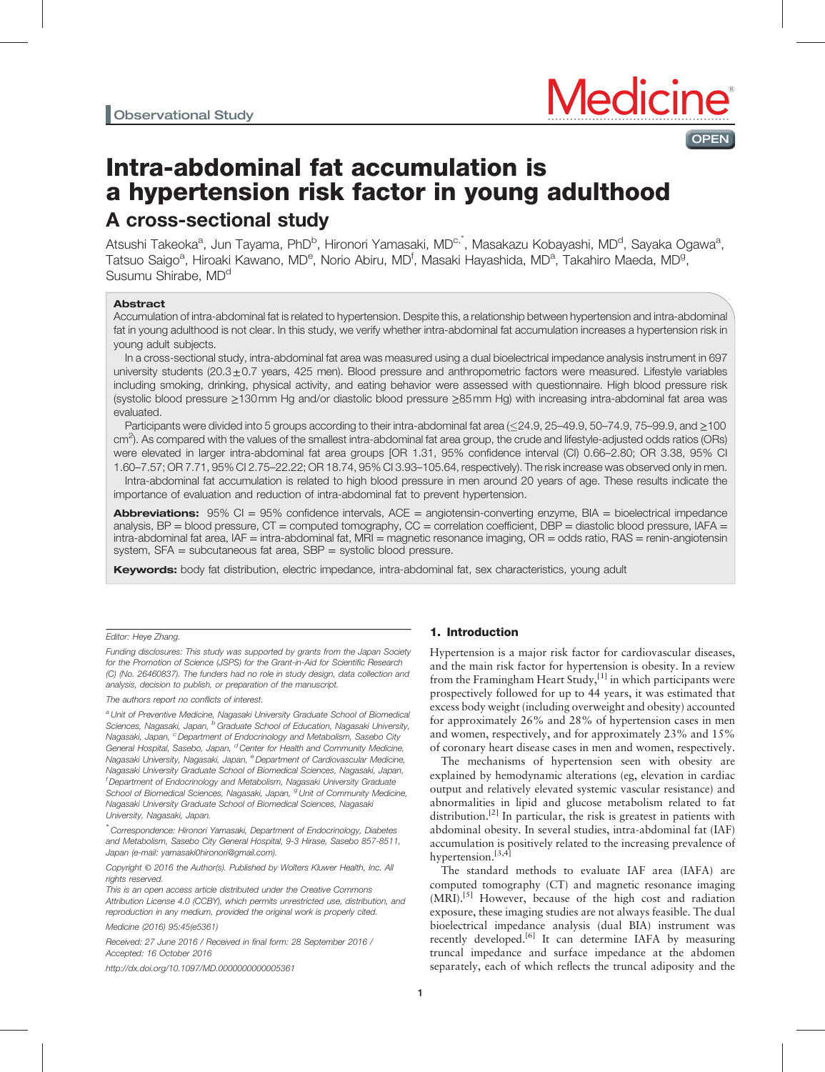

# Intra-abdominal fat accumulation is a hypertension risk factor in young adulthood A cross-sectional study

Atsushi Takeoka<sup>a</sup>, Jun Tayama, PhD<sup>b</sup>, Hironori Yamasaki, MD<sup>c,\*</sup>, Masakazu Kobayashi, MD<sup>d</sup>, Sayaka Ogawa<sup>a</sup>, Tatsuo Saigo<sup>a</sup>, Hiroaki Kawano, MD<sup>e</sup>, Norio Abiru, MD<sup>f</sup>, Masaki Hayashida, MD<sup>a</sup>, Takahiro Maeda, MD<sup>g</sup>, Susumu Shirabe, MD<sup>d</sup>

# **Abstract**

Accumulation of intra-abdominal fat is related to hypertension. Despite this, a relationship between hypertension and intra-abdominal fat in young adulthood is not clear. In this study, we verify whether intra-abdominal fat accumulation increases a hypertension risk in young adult subjects.

In a cross-sectional study, intra-abdominal fat area was measured using a dual bioelectrical impedance analysis instrument in 697 university students (20.3 $\pm$ 0.7 years, 425 men). Blood pressure and anthropometric factors were measured. Lifestyle variables including smoking, drinking, physical activity, and eating behavior were assessed with questionnaire. High blood pressure risk (systolic blood pressure ≥130mm Hg and/or diastolic blood pressure ≥85mm Hg) with increasing intra-abdominal fat area was evaluated.

Participants were divided into 5 groups according to their intra-abdominal fat area (<24.9, 25–49.9, 50–74.9, 75–99.9, and ≥100 cm<sup>2</sup>). As compared with the values of the smallest intra-abdominal fat area group, the crude and lifestyle-adjusted odds ratios (ORs) were elevated in larger intra-abdominal fat area groups [OR 1.31, 95% confidence interval (CI) 0.66–2.80; OR 3.38, 95% CI 1.60–7.57; OR 7.71, 95% CI 2.75–22.22; OR 18.74, 95% CI 3.93–105.64, respectively). The risk increase was observed only in men.

Intra-abdominal fat accumulation is related to high blood pressure in men around 20 years of age. These results indicate the importance of evaluation and reduction of intra-abdominal fat to prevent hypertension.

Abbreviations: 95% CI = 95% confidence intervals, ACE = angiotensin-converting enzyme, BIA = bioelectrical impedance analysis,  $BP =$  blood pressure,  $CT =$  computed tomography,  $CC =$  correlation coefficient,  $DBP =$  diastolic blood pressure, IAFA = intra-abdominal fat area, IAF = intra-abdominal fat, MRI = magnetic resonance imaging, OR = odds ratio, RAS = renin-angiotensin system, SFA = subcutaneous fat area, SBP = systolic blood pressure.

Keywords: body fat distribution, electric impedance, intra-abdominal fat, sex characteristics, young adult

## Editor: Heye Zhang.

Funding disclosures: This study was supported by grants from the Japan Society for the Promotion of Science (JSPS) for the Grant-in-Aid for Scientific Research (C) (No. 26460837). The funders had no role in study design, data collection and analysis, decision to publish, or preparation of the manuscript.

## The authors report no conflicts of interest.

a Unit of Preventive Medicine, Nagasaki University Graduate School of Biomedical Sciences, Nagasaki, Japan, <sup>b</sup> Graduate School of Education, Nagasaki University, Nagasaki, Japan, <sup>c</sup> Department of Endocrinology and Metabolism, Sasebo City General Hospital, Sasebo, Japan, <sup>d</sup> Center for Health and Community Medicine. Nagasaki University, Nagasaki, Japan, <sup>e</sup> Department of Cardiovascular Medicine, Nagasaki University Graduate School of Biomedical Sciences, Nagasaki, Japan, <sup>f</sup> Department of Endocrinology and Metabolism, Nagasaki University Graduate School of Biomedical Sciences, Nagasaki, Japan, <sup>g</sup> Unit of Community Medicine, Nagasaki University Graduate School of Biomedical Sciences, Nagasaki University, Nagasaki, Japan.

∗ Correspondence: Hironori Yamasaki, Department of Endocrinology, Diabetes and Metabolism, Sasebo City General Hospital, 9-3 Hirase, Sasebo 857-8511, Japan (e-mail: [yamasaki0hironori@gmail.com](mailto:yamasaki0hironori@gmail.com)).

Copyright © 2016 the Author(s). Published by Wolters Kluwer Health, Inc. All rights reserved.

This is an open access article distributed under the Creative Commons Attribution License 4.0 (CCBY), which permits unrestricted use, distribution, and reproduction in any medium, provided the original work is properly cited.

Medicine (2016) 95:45(e5361)

Received: 27 June 2016 / Received in final form: 28 September 2016 / Accepted: 16 October 2016

<http://dx.doi.org/10.1097/MD.0000000000005361>

# 1. Introduction

Hypertension is a major risk factor for cardiovascular diseases, and the main risk factor for hypertension is obesity. In a review from the Framingham Heart Study, $[1]$  in which participants were prospectively followed for up to 44 years, it was estimated that excess body weight (including overweight and obesity) accounted for approximately 26% and 28% of hypertension cases in men and women, respectively, and for approximately 23% and 15% of coronary heart disease cases in men and women, respectively.

The mechanisms of hypertension seen with obesity are explained by hemodynamic alterations (eg, elevation in cardiac output and relatively elevated systemic vascular resistance) and abnormalities in lipid and glucose metabolism related to fat distribution.<sup>[\[2\]](#page-5-0)</sup> In particular, the risk is greatest in patients with abdominal obesity. In several studies, intra-abdominal fat (IAF) accumulation is positively related to the increasing prevalence of hypertension.<sup>[3,4]</sup>

The standard methods to evaluate IAF area (IAFA) are computed tomography (CT) and magnetic resonance imaging (MRI).<sup>[\[5\]](#page-5-0)</sup> However, because of the high cost and radiation exposure, these imaging studies are not always feasible. The dual bioelectrical impedance analysis (dual BIA) instrument was recently developed.<sup>[\[6\]](#page-5-0)</sup> It can determine IAFA by measuring truncal impedance and surface impedance at the abdomen separately, each of which reflects the truncal adiposity and the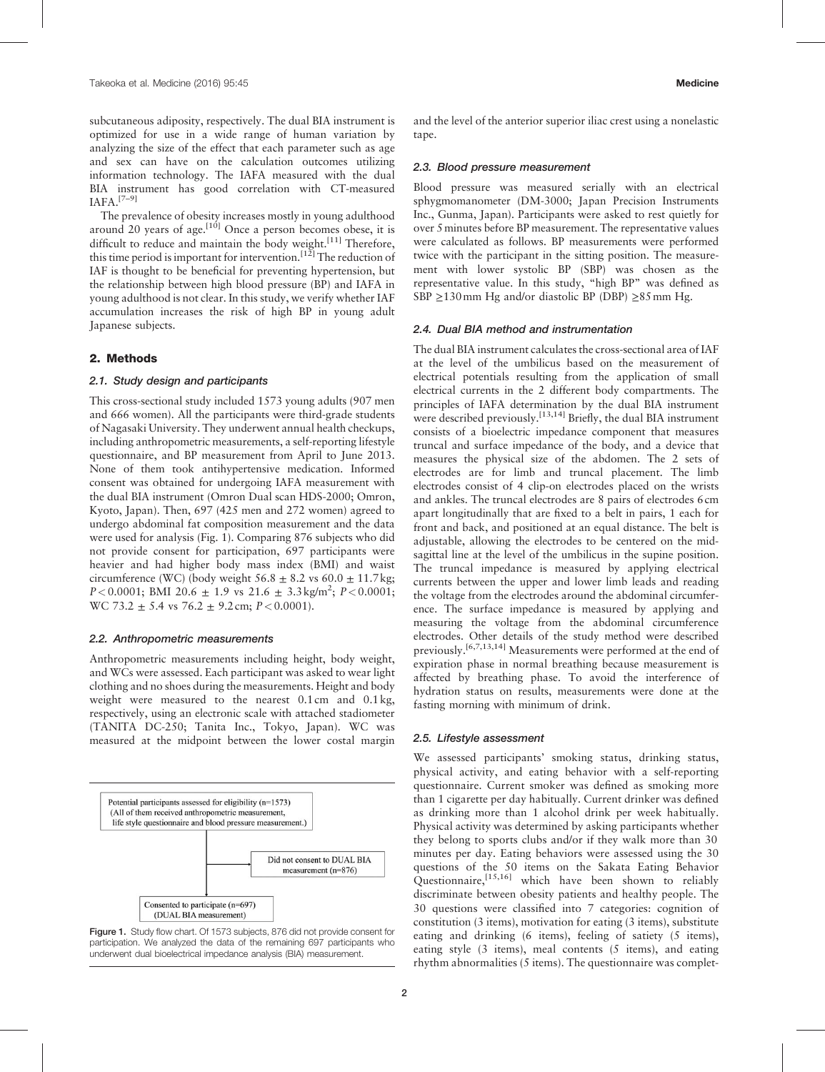subcutaneous adiposity, respectively. The dual BIA instrument is optimized for use in a wide range of human variation by analyzing the size of the effect that each parameter such as age and sex can have on the calculation outcomes utilizing information technology. The IAFA measured with the dual BIA instrument has good correlation with CT-measured IAFA.[7–9]

The prevalence of obesity increases mostly in young adulthood around 20 years of age.<sup>[\[10\]](#page-5-0)</sup> Once a person becomes obese, it is difficult to reduce and maintain the body weight.<sup>[\[11\]](#page-5-0)</sup> Therefore, this time period is important for intervention.<sup>[\[12\]](#page-5-0)</sup> The reduction of IAF is thought to be beneficial for preventing hypertension, but the relationship between high blood pressure (BP) and IAFA in young adulthood is not clear. In this study, we verify whether IAF accumulation increases the risk of high BP in young adult Japanese subjects.

# 2. Methods

# 2.1. Study design and participants

This cross-sectional study included 1573 young adults (907 men and 666 women). All the participants were third-grade students of Nagasaki University. They underwent annual health checkups, including anthropometric measurements, a self-reporting lifestyle questionnaire, and BP measurement from April to June 2013. None of them took antihypertensive medication. Informed consent was obtained for undergoing IAFA measurement with the dual BIA instrument (Omron Dual scan HDS-2000; Omron, Kyoto, Japan). Then, 697 (425 men and 272 women) agreed to undergo abdominal fat composition measurement and the data were used for analysis (Fig. 1). Comparing 876 subjects who did not provide consent for participation, 697 participants were heavier and had higher body mass index (BMI) and waist circumference (WC) (body weight  $56.8 \pm 8.2$  vs  $60.0 \pm 11.7$  kg;  $P < 0.0001$ ; BMI 20.6  $\pm$  1.9 vs 21.6  $\pm$  3.3 kg/m<sup>2</sup>;  $P < 0.0001$ ; WC 73.2  $\pm$  5.4 vs 76.2  $\pm$  9.2 cm; P < 0.0001).

#### 2.2. Anthropometric measurements

Anthropometric measurements including height, body weight, and WCs were assessed. Each participant was asked to wear light clothing and no shoes during the measurements. Height and body weight were measured to the nearest 0.1 cm and 0.1 kg, respectively, using an electronic scale with attached stadiometer (TANITA DC-250; Tanita Inc., Tokyo, Japan). WC was measured at the midpoint between the lower costal margin



Figure 1. Study flow chart. Of 1573 subjects, 876 did not provide consent for participation. We analyzed the data of the remaining 697 participants who underwent dual bioelectrical impedance analysis (BIA) measurement.

and the level of the anterior superior iliac crest using a nonelastic tape.

#### 2.3. Blood pressure measurement

Blood pressure was measured serially with an electrical sphygmomanometer (DM-3000; Japan Precision Instruments Inc., Gunma, Japan). Participants were asked to rest quietly for over 5minutes before BP measurement. The representative values were calculated as follows. BP measurements were performed twice with the participant in the sitting position. The measurement with lower systolic BP (SBP) was chosen as the representative value. In this study, "high BP" was defined as SBP ≥130mm Hg and/or diastolic BP (DBP) ≥85mm Hg.

## 2.4. Dual BIA method and instrumentation

The dual BIA instrument calculates the cross-sectional area of IAF at the level of the umbilicus based on the measurement of electrical potentials resulting from the application of small electrical currents in the 2 different body compartments. The principles of IAFA determination by the dual BIA instrument were described previously.<sup>[13,14]</sup> Briefly, the dual BIA instrument consists of a bioelectric impedance component that measures truncal and surface impedance of the body, and a device that measures the physical size of the abdomen. The 2 sets of electrodes are for limb and truncal placement. The limb electrodes consist of 4 clip-on electrodes placed on the wrists and ankles. The truncal electrodes are 8 pairs of electrodes 6 cm apart longitudinally that are fixed to a belt in pairs, 1 each for front and back, and positioned at an equal distance. The belt is adjustable, allowing the electrodes to be centered on the midsagittal line at the level of the umbilicus in the supine position. The truncal impedance is measured by applying electrical currents between the upper and lower limb leads and reading the voltage from the electrodes around the abdominal circumference. The surface impedance is measured by applying and measuring the voltage from the abdominal circumference electrodes. Other details of the study method were described previously.[6,7,13,14] Measurements were performed at the end of expiration phase in normal breathing because measurement is affected by breathing phase. To avoid the interference of hydration status on results, measurements were done at the fasting morning with minimum of drink.

# 2.5. Lifestyle assessment

We assessed participants' smoking status, drinking status, physical activity, and eating behavior with a self-reporting questionnaire. Current smoker was defined as smoking more than 1 cigarette per day habitually. Current drinker was defined as drinking more than 1 alcohol drink per week habitually. Physical activity was determined by asking participants whether they belong to sports clubs and/or if they walk more than 30 minutes per day. Eating behaviors were assessed using the 30 questions of the 50 items on the Sakata Eating Behavior Questionnaire,<sup>[15,16]</sup> which have been shown to reliably discriminate between obesity patients and healthy people. The 30 questions were classified into 7 categories: cognition of constitution (3 items), motivation for eating (3 items), substitute eating and drinking (6 items), feeling of satiety (5 items), eating style (3 items), meal contents (5 items), and eating rhythm abnormalities (5 items). The questionnaire was complet-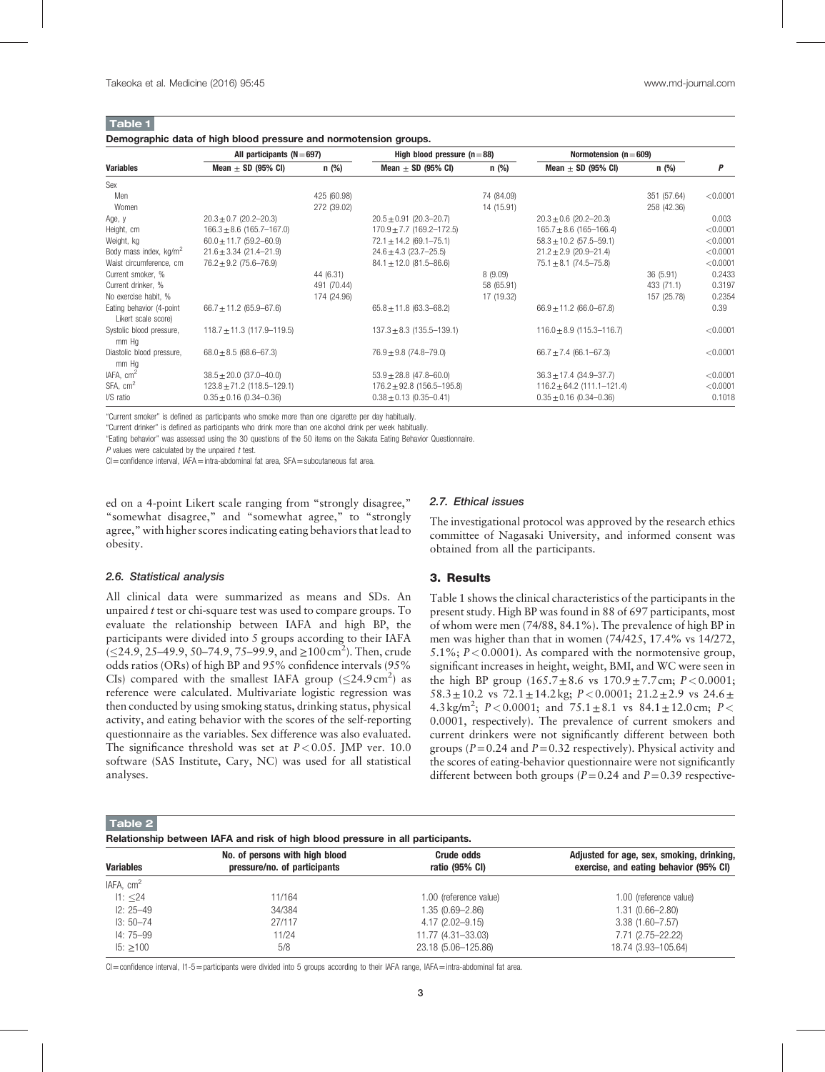# <span id="page-2-0"></span>Table 1

#### Demographic data of high blood pressure and normotension groups.

|                                                 | All participants ( $N = 697$ ) |             |                                | High blood pressure $(n=88)$ |                                | Normotension ( $n = 609$ ) |          |
|-------------------------------------------------|--------------------------------|-------------|--------------------------------|------------------------------|--------------------------------|----------------------------|----------|
| <b>Variables</b>                                | Mean $\pm$ SD (95% CI)         | n (%)       | Mean $\pm$ SD (95% CI)         | n(%)                         | Mean $\pm$ SD (95% CI)         | n (%)                      | P        |
| Sex                                             |                                |             |                                |                              |                                |                            |          |
| Men                                             |                                | 425 (60.98) |                                | 74 (84.09)                   |                                | 351 (57.64)                | < 0.0001 |
| Women                                           |                                | 272 (39.02) |                                | 14 (15.91)                   |                                | 258 (42.36)                |          |
| Age, y                                          | $20.3 \pm 0.7$ (20.2-20.3)     |             | $20.5 \pm 0.91$ (20.3-20.7)    |                              | $20.3 \pm 0.6$ (20.2-20.3)     |                            | 0.003    |
| Height, cm                                      | $166.3 \pm 8.6$ (165.7-167.0)  |             | $170.9 \pm 7.7$ (169.2-172.5)  |                              | $165.7 \pm 8.6$ (165-166.4)    |                            | < 0.0001 |
| Weight, kg                                      | $60.0 \pm 11.7$ (59.2-60.9)    |             | $72.1 \pm 14.2$ (69.1-75.1)    |                              | $58.3 \pm 10.2$ (57.5-59.1)    |                            | < 0.0001 |
| Body mass index, kg/m <sup>2</sup>              | $21.6 \pm 3.34$ (21.4-21.9)    |             | $24.6 \pm 4.3$ (23.7-25.5)     |                              | $21.2 \pm 2.9$ (20.9-21.4)     |                            | < 0.0001 |
| Waist circumference, cm                         | $76.2 \pm 9.2$ (75.6-76.9)     |             | $84.1 \pm 12.0$ (81.5-86.6)    |                              | $75.1 \pm 8.1$ (74.5-75.8)     |                            | < 0.0001 |
| Current smoker, %                               |                                | 44 (6.31)   |                                | 8(9.09)                      |                                | 36 (5.91)                  | 0.2433   |
| Current drinker, %                              |                                | 491 (70.44) |                                | 58 (65.91)                   |                                | 433 (71.1)                 | 0.3197   |
| No exercise habit, %                            |                                | 174 (24.96) |                                | 17 (19.32)                   |                                | 157 (25.78)                | 0.2354   |
| Eating behavior (4-point<br>Likert scale score) | $66.7 \pm 11.2$ (65.9-67.6)    |             | $65.8 \pm 11.8$ (63.3-68.2)    |                              | $66.9 \pm 11.2$ (66.0-67.8)    |                            | 0.39     |
| Systolic blood pressure,<br>mm Hq               | $118.7 \pm 11.3$ (117.9-119.5) |             | $137.3 \pm 8.3$ (135.5-139.1)  |                              | $116.0 \pm 8.9$ (115.3-116.7)  |                            | < 0.0001 |
| Diastolic blood pressure,<br>mm Hq              | $68.0 \pm 8.5$ (68.6-67.3)     |             | $76.9 \pm 9.8$ (74.8-79.0)     |                              | $66.7 \pm 7.4$ (66.1-67.3)     |                            | < 0.0001 |
| IAFA, cm <sup>2</sup>                           | $38.5 \pm 20.0$ (37.0-40.0)    |             | $53.9 \pm 28.8$ (47.8-60.0)    |                              | $36.3 \pm 17.4$ (34.9-37.7)    |                            | < 0.0001 |
| SFA, cm <sup>2</sup>                            | $123.8 \pm 71.2$ (118.5-129.1) |             | $176.2 \pm 92.8$ (156.5-195.8) |                              | $116.2 \pm 64.2$ (111.1-121.4) |                            | < 0.0001 |
| I/S ratio                                       | $0.35 \pm 0.16$ (0.34-0.36)    |             | $0.38 \pm 0.13$ (0.35-0.41)    |                              | $0.35 \pm 0.16$ (0.34-0.36)    |                            | 0.1018   |

"Current smoker" is defined as participants who smoke more than one cigarette per day habitually.

"Current drinker" is defined as participants who drink more than one alcohol drink per week habitually.

"Eating behavior" was assessed using the 30 questions of the 50 items on the Sakata Eating Behavior Questionnaire.

 $P$  values were calculated by the unpaired  $t$  test.

CI=confidence interval, IAFA=intra-abdominal fat area, SFA=subcutaneous fat area.

ed on a 4-point Likert scale ranging from "strongly disagree," "somewhat disagree," and "somewhat agree," to "strongly agree," with higher scores indicating eating behaviors that lead to obesity.

# 2.7. Ethical issues

The investigational protocol was approved by the research ethics committee of Nagasaki University, and informed consent was obtained from all the participants.

# 2.6. Statistical analysis

All clinical data were summarized as means and SDs. An unpaired  $t$  test or chi-square test was used to compare groups. To evaluate the relationship between IAFA and high BP, the participants were divided into 5 groups according to their IAFA  $( \leq 24.9, 25-49.9, 50-74.9, 75-99.9, and \geq 100 \text{ cm}^2).$  Then, crude odds ratios (ORs) of high BP and 95% confidence intervals (95% CIs) compared with the smallest IAFA group  $(\leq 24.9 \text{ cm}^2)$  as reference were calculated. Multivariate logistic regression was then conducted by using smoking status, drinking status, physical activity, and eating behavior with the scores of the self-reporting questionnaire as the variables. Sex difference was also evaluated. The significance threshold was set at  $P < 0.05$ . JMP ver. 10.0 software (SAS Institute, Cary, NC) was used for all statistical analyses.

# 3. Results

Table 1 shows the clinical characteristics of the participants in the present study. High BP was found in 88 of 697 participants, most of whom were men (74/88, 84.1%). The prevalence of high BP in men was higher than that in women (74/425, 17.4% vs 14/272, 5.1%;  $P < 0.0001$ ). As compared with the normotensive group, significant increases in height, weight, BMI, and WC were seen in the high BP group  $(165.7 \pm 8.6 \text{ vs } 170.9 \pm 7.7 \text{ cm}; P < 0.0001;$ 58.3 $\pm$ 10.2 vs 72.1 $\pm$ 14.2 kg; P < 0.0001; 21.2 $\pm$ 2.9 vs 24.6 $\pm$ 4.3 kg/m<sup>2</sup>;  $P < 0.0001$ ; and  $75.1 \pm 8.1$  vs  $84.1 \pm 12.0$  cm;  $P <$ 0.0001, respectively). The prevalence of current smokers and current drinkers were not significantly different between both groups ( $P=0.24$  and  $P=0.32$  respectively). Physical activity and the scores of eating-behavior questionnaire were not significantly different between both groups ( $P=0.24$  and  $P=0.39$  respective-

Table 2

|  |  |  |  | Relationship between IAFA and risk of high blood pressure in all participants. |
|--|--|--|--|--------------------------------------------------------------------------------|
|  |  |  |  |                                                                                |

| noiduonoinp bothoon iru A and noit or mgn biood proboaro in air participanto. |                                               |                                                                                     |  |  |  |
|-------------------------------------------------------------------------------|-----------------------------------------------|-------------------------------------------------------------------------------------|--|--|--|
| No. of persons with high blood<br>pressure/no. of participants                | <b>Crude odds</b><br>ratio $(95% \text{ Cl})$ | Adjusted for age, sex, smoking, drinking,<br>exercise, and eating behavior (95% CI) |  |  |  |
|                                                                               |                                               |                                                                                     |  |  |  |
| 11/164                                                                        | 1.00 (reference value)                        | 1.00 (reference value)                                                              |  |  |  |
| 34/384                                                                        | $1.35(0.69 - 2.86)$                           | $1.31(0.66 - 2.80)$                                                                 |  |  |  |
| 27/117                                                                        | 4.17 (2.02-9.15)                              | $3.38(1.60 - 7.57)$                                                                 |  |  |  |
| 11/24                                                                         | 11.77 (4.31-33.03)                            | 7.71 (2.75-22.22)                                                                   |  |  |  |
| 5/8                                                                           | 23.18 (5.06-125.86)                           | 18.74 (3.93-105.64)                                                                 |  |  |  |
|                                                                               |                                               |                                                                                     |  |  |  |

CI=confidence interval, I1-5=participants were divided into 5 groups according to their IAFA range, IAFA=intra-abdominal fat area.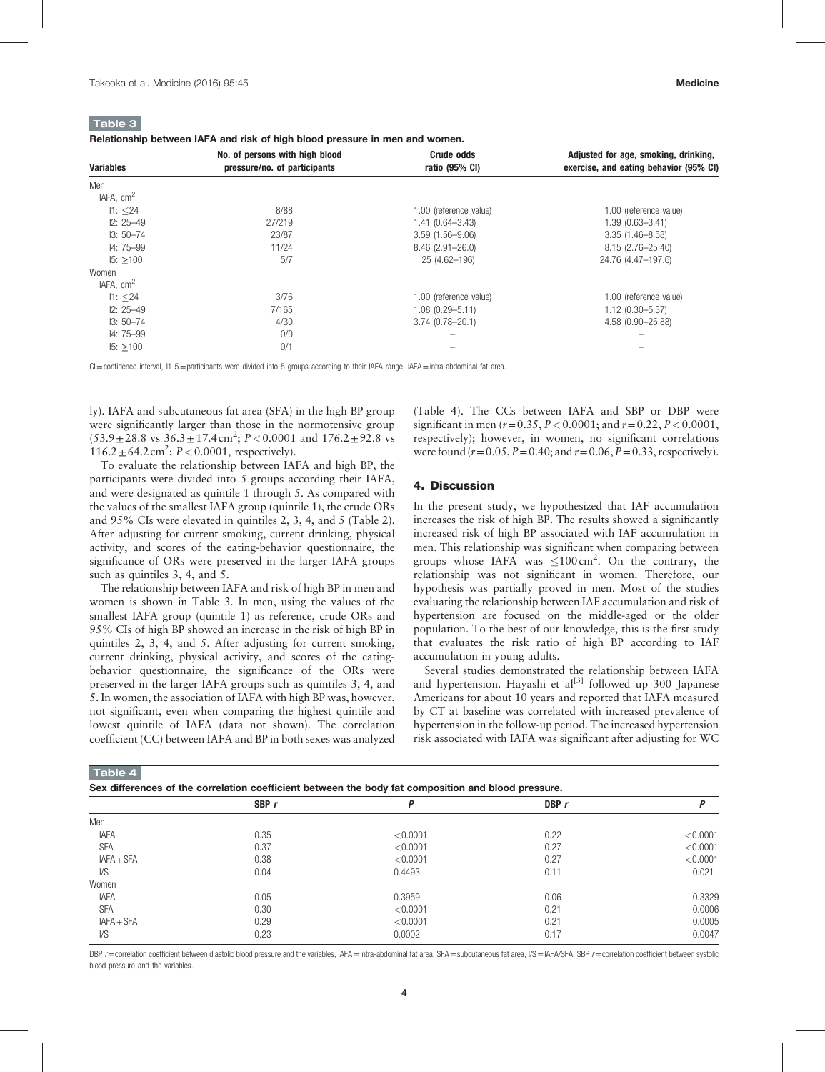<span id="page-3-0"></span>Table 3

Relationship between IAFA and risk of high blood pressure in men and women.

| <b>Variables</b>      | No. of persons with high blood<br>pressure/no. of participants | <b>Crude odds</b><br>ratio (95% CI) | Adjusted for age, smoking, drinking,<br>exercise, and eating behavior (95% CI) |
|-----------------------|----------------------------------------------------------------|-------------------------------------|--------------------------------------------------------------------------------|
| Men                   |                                                                |                                     |                                                                                |
| IAFA. cm <sup>2</sup> |                                                                |                                     |                                                                                |
| 11: < 24              | 8/88                                                           | 1.00 (reference value)              | 1.00 (reference value)                                                         |
| $12: 25 - 49$         | 27/219                                                         | $1.41(0.64 - 3.43)$                 | $1.39(0.63 - 3.41)$                                                            |
| $13:50 - 74$          | 23/87                                                          | $3.59(1.56 - 9.06)$                 | $3.35(1.46 - 8.58)$                                                            |
| $14:75 - 99$          | 11/24                                                          | $8.46(2.91 - 26.0)$                 | 8.15 (2.76-25.40)                                                              |
| $15: \ge 100$         | 5/7                                                            | 25 (4.62-196)                       | 24.76 (4.47-197.6)                                                             |
| Women                 |                                                                |                                     |                                                                                |
| IAFA, cm <sup>2</sup> |                                                                |                                     |                                                                                |
| 11: < 24              | 3/76                                                           | 1.00 (reference value)              | 1.00 (reference value)                                                         |
| $12: 25 - 49$         | 7/165                                                          | $1.08(0.29 - 5.11)$                 | $1.12(0.30 - 5.37)$                                                            |
| $13:50 - 74$          | 4/30                                                           | $3.74(0.78 - 20.1)$                 | 4.58 (0.90-25.88)                                                              |
| $14:75 - 99$          | 0/0                                                            |                                     |                                                                                |
| $15: \ge 100$         | 0/1                                                            |                                     |                                                                                |

 $Cl =$ confidence interval,  $11-5 =$ participants were divided into 5 groups according to their IAFA range, IAFA = intra-abdominal fat area.

ly). IAFA and subcutaneous fat area (SFA) in the high BP group were significantly larger than those in the normotensive group  $(53.9 \pm 28.8 \text{ vs } 36.3 \pm 17.4 \text{ cm}^2; P < 0.0001 \text{ and } 176.2 \pm 92.8 \text{ vs } 17.4 \text{ cm}^2$  $116.2 \pm 64.2 \text{ cm}^2$ ;  $P < 0.0001$ , respectively).

To evaluate the relationship between IAFA and high BP, the participants were divided into 5 groups according their IAFA, and were designated as quintile 1 through 5. As compared with the values of the smallest IAFA group (quintile 1), the crude ORs and 95% CIs were elevated in quintiles 2, 3, 4, and 5 [\(Table 2\)](#page-2-0). After adjusting for current smoking, current drinking, physical activity, and scores of the eating-behavior questionnaire, the significance of ORs were preserved in the larger IAFA groups such as quintiles 3, 4, and 5.

The relationship between IAFA and risk of high BP in men and women is shown in Table 3. In men, using the values of the smallest IAFA group (quintile 1) as reference, crude ORs and 95% CIs of high BP showed an increase in the risk of high BP in quintiles 2, 3, 4, and 5. After adjusting for current smoking, current drinking, physical activity, and scores of the eatingbehavior questionnaire, the significance of the ORs were preserved in the larger IAFA groups such as quintiles 3, 4, and 5. In women, the association of IAFA with high BP was, however, not significant, even when comparing the highest quintile and lowest quintile of IAFA (data not shown). The correlation coefficient (CC) between IAFA and BP in both sexes was analyzed

(Table 4). The CCs between IAFA and SBP or DBP were significant in men ( $r = 0.35$ ,  $P < 0.0001$ ; and  $r = 0.22$ ,  $P < 0.0001$ , respectively); however, in women, no significant correlations were found ( $r = 0.05$ ,  $P = 0.40$ ; and  $r = 0.06$ ,  $P = 0.33$ , respectively).

### 4. Discussion

SBP r  $P$  DBP r  $P$ 

In the present study, we hypothesized that IAF accumulation increases the risk of high BP. The results showed a significantly increased risk of high BP associated with IAF accumulation in men. This relationship was significant when comparing between groups whose IAFA was  $\leq 100 \text{ cm}^2$ . On the contrary, the relationship was not significant in women. Therefore, our hypothesis was partially proved in men. Most of the studies evaluating the relationship between IAF accumulation and risk of hypertension are focused on the middle-aged or the older population. To the best of our knowledge, this is the first study that evaluates the risk ratio of high BP according to IAF accumulation in young adults.

Several studies demonstrated the relationship between IAFA and hypertension. Hayashi et al<sup>[3]</sup> followed up 300 Japanese Americans for about 10 years and reported that IAFA measured by CT at baseline was correlated with increased prevalence of hypertension in the follow-up period. The increased hypertension risk associated with IAFA was significant after adjusting for WC

Men

|  | Sex differences of the correlation coefficient between the body fat composition and blood pressure. |  |
|--|-----------------------------------------------------------------------------------------------------|--|

| <b>IAFA</b> | 0.35 | < 0.0001 | 0.22 | < 0.0001 |
|-------------|------|----------|------|----------|
| <b>SFA</b>  | 0.37 | < 0.0001 | 0.27 | < 0.0001 |
| IAFA + SFA  | 0.38 | < 0.0001 | 0.27 | < 0.0001 |
| I/S         | 0.04 | 0.4493   | 0.11 | 0.021    |
| Women       |      |          |      |          |
| <b>IAFA</b> | 0.05 | 0.3959   | 0.06 | 0.3329   |
| <b>SFA</b>  | 0.30 | < 0.0001 | 0.21 | 0.0006   |
| IAFA + SFA  | 0.29 | < 0.0001 | 0.21 | 0.0005   |
| VS          | 0.23 | 0.0002   | 0.17 | 0.0047   |

DBP  $r$  = correlation coefficient between diastolic blood pressure and the variables, IAFA = intra-abdominal fat area, SFA = subcutaneous fat area, I/S = IAFA/SFA, SBP  $r$  = correlation coefficient between systolic blood pressure and the variables.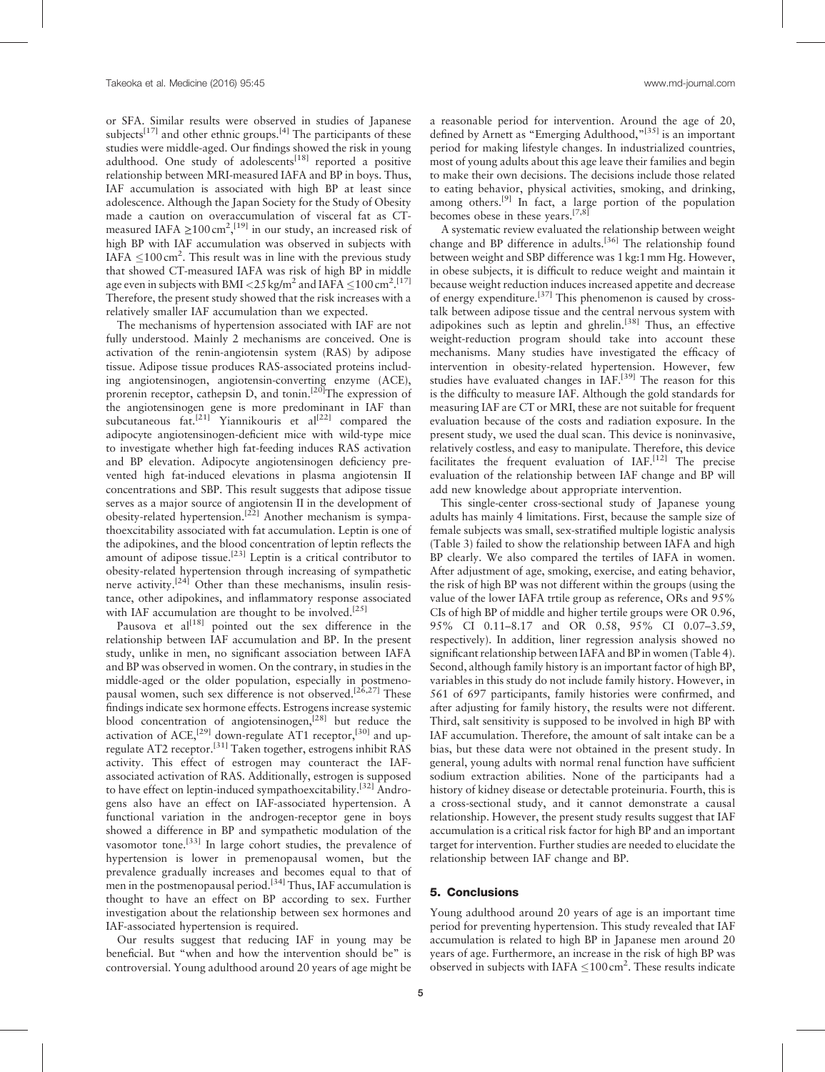or SFA. Similar results were observed in studies of Japanese subjects<sup>[\[17\]](#page-5-0)</sup> and other ethnic groups.<sup>[\[4\]](#page-5-0)</sup> The participants of these studies were middle-aged. Our findings showed the risk in young adulthood. One study of adolescents<sup>[\[18\]](#page-5-0)</sup> reported a positive relationship between MRI-measured IAFA and BP in boys. Thus, IAF accumulation is associated with high BP at least since adolescence. Although the Japan Society for the Study of Obesity made a caution on overaccumulation of visceral fat as CTmeasured IAFA  $\geq$ 100 cm<sup>2</sup>,<sup>[\[19\]](#page-5-0)</sup> in our study, an increased risk of high BP with IAF accumulation was observed in subjects with IAFA  $\leq$ 100 cm<sup>2</sup>. This result was in line with the previous study that showed CT-measured IAFA was risk of high BP in middle age even in subjects with BMI <25 kg/m<sup>2</sup> and IAFA  $\leq$ 100 cm<sup>2</sup>.<sup>[\[17\]](#page-5-0)</sup> Therefore, the present study showed that the risk increases with a relatively smaller IAF accumulation than we expected.

The mechanisms of hypertension associated with IAF are not fully understood. Mainly 2 mechanisms are conceived. One is activation of the renin-angiotensin system (RAS) by adipose tissue. Adipose tissue produces RAS-associated proteins including angiotensinogen, angiotensin-converting enzyme (ACE), prorenin receptor, cathepsin D, and tonin.<sup>[20]</sup>The expression of the angiotensinogen gene is more predominant in IAF than subcutaneous fat.<sup>[\[21\]](#page-5-0)</sup> Yiannikouris et al<sup>[\[22\]](#page-5-0)</sup> compared the adipocyte angiotensinogen-deficient mice with wild-type mice to investigate whether high fat-feeding induces RAS activation and BP elevation. Adipocyte angiotensinogen deficiency prevented high fat-induced elevations in plasma angiotensin II concentrations and SBP. This result suggests that adipose tissue serves as a major source of angiotensin II in the development of obesity-related hypertension.[\[22\]](#page-5-0) Another mechanism is sympathoexcitability associated with fat accumulation. Leptin is one of the adipokines, and the blood concentration of leptin reflects the amount of adipose tissue.<sup>[\[23\]](#page-5-0)</sup> Leptin is a critical contributor to obesity-related hypertension through increasing of sympathetic nerve activity.<sup>[\[24\]](#page-5-0)</sup> Other than these mechanisms, insulin resistance, other adipokines, and inflammatory response associated with IAF accumulation are thought to be involved.<sup>[\[25\]](#page-5-0)</sup>

Pausova et  $aI^{[18]}$  $aI^{[18]}$  $aI^{[18]}$  pointed out the sex difference in the relationship between IAF accumulation and BP. In the present study, unlike in men, no significant association between IAFA and BP was observed in women. On the contrary, in studies in the middle-aged or the older population, especially in postmenopausal women, such sex difference is not observed.<sup>[26,27]</sup> These findings indicate sex hormone effects. Estrogens increase systemic blood concentration of angiotensinogen,<sup>[\[28\]](#page-5-0)</sup> but reduce the activation of ACE,<sup>[\[29\]](#page-5-0)</sup> down-regulate AT1 receptor,<sup>[\[30\]](#page-5-0)</sup> and upregulate AT2 receptor.[\[31\]](#page-5-0) Taken together, estrogens inhibit RAS activity. This effect of estrogen may counteract the IAFassociated activation of RAS. Additionally, estrogen is supposed to have effect on leptin-induced sympathoexcitability.<sup>[\[32\]](#page-5-0)</sup> Androgens also have an effect on IAF-associated hypertension. A functional variation in the androgen-receptor gene in boys showed a difference in BP and sympathetic modulation of the vasomotor tone.<sup>[33]</sup> In large cohort studies, the prevalence of hypertension is lower in premenopausal women, but the prevalence gradually increases and becomes equal to that of men in the postmenopausal period.<sup>[\[34\]](#page-5-0)</sup> Thus, IAF accumulation is thought to have an effect on BP according to sex. Further investigation about the relationship between sex hormones and IAF-associated hypertension is required.

Our results suggest that reducing IAF in young may be beneficial. But "when and how the intervention should be" is controversial. Young adulthood around 20 years of age might be a reasonable period for intervention. Around the age of 20, defined by Arnett as "Emerging Adulthood," $[35]$  is an important period for making lifestyle changes. In industrialized countries, most of young adults about this age leave their families and begin to make their own decisions. The decisions include those related to eating behavior, physical activities, smoking, and drinking, among others.[\[9\]](#page-5-0) In fact, a large portion of the population becomes obese in these years.<sup>[7,8]</sup>

A systematic review evaluated the relationship between weight change and BP difference in adults.<sup>[\[36\]](#page-5-0)</sup> The relationship found between weight and SBP difference was 1 kg:1mm Hg. However, in obese subjects, it is difficult to reduce weight and maintain it because weight reduction induces increased appetite and decrease of energy expenditure.[\[37\]](#page-5-0) This phenomenon is caused by crosstalk between adipose tissue and the central nervous system with adipokines such as leptin and ghrelin.<sup>[\[38\]](#page-5-0)</sup> Thus, an effective weight-reduction program should take into account these mechanisms. Many studies have investigated the efficacy of intervention in obesity-related hypertension. However, few studies have evaluated changes in  $IAF$ .<sup>[39]</sup> The reason for this is the difficulty to measure IAF. Although the gold standards for measuring IAF are CT or MRI, these are not suitable for frequent evaluation because of the costs and radiation exposure. In the present study, we used the dual scan. This device is noninvasive, relatively costless, and easy to manipulate. Therefore, this device facilitates the frequent evaluation of  $IAF<sub>1</sub><sup>[12]</sup>$  $IAF<sub>1</sub><sup>[12]</sup>$  $IAF<sub>1</sub><sup>[12]</sup>$  The precise evaluation of the relationship between IAF change and BP will add new knowledge about appropriate intervention.

This single-center cross-sectional study of Japanese young adults has mainly 4 limitations. First, because the sample size of female subjects was small, sex-stratified multiple logistic analysis ([Table 3\)](#page-3-0) failed to show the relationship between IAFA and high BP clearly. We also compared the tertiles of IAFA in women. After adjustment of age, smoking, exercise, and eating behavior, the risk of high BP was not different within the groups (using the value of the lower IAFA trtile group as reference, ORs and 95% CIs of high BP of middle and higher tertile groups were OR 0.96, 95% CI 0.11–8.17 and OR 0.58, 95% CI 0.07–3.59, respectively). In addition, liner regression analysis showed no significant relationship between IAFA and BP in women ([Table 4\)](#page-3-0). Second, although family history is an important factor of high BP, variables in this study do not include family history. However, in 561 of 697 participants, family histories were confirmed, and after adjusting for family history, the results were not different. Third, salt sensitivity is supposed to be involved in high BP with IAF accumulation. Therefore, the amount of salt intake can be a bias, but these data were not obtained in the present study. In general, young adults with normal renal function have sufficient sodium extraction abilities. None of the participants had a history of kidney disease or detectable proteinuria. Fourth, this is a cross-sectional study, and it cannot demonstrate a causal relationship. However, the present study results suggest that IAF accumulation is a critical risk factor for high BP and an important target for intervention. Further studies are needed to elucidate the relationship between IAF change and BP.

# 5. Conclusions

Young adulthood around 20 years of age is an important time period for preventing hypertension. This study revealed that IAF accumulation is related to high BP in Japanese men around 20 years of age. Furthermore, an increase in the risk of high BP was observed in subjects with IAFA  $\leq$ 100 cm<sup>2</sup>. These results indicate